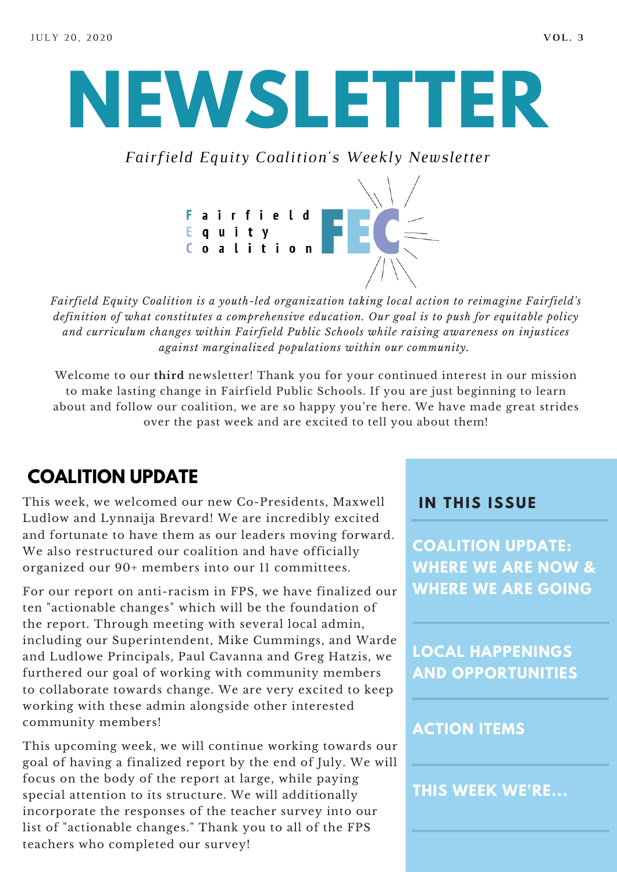# **NEWSLETTER**

*Fairfield Equity Coalition's Weekly Newsletter*



*Fairfield Equity Coalition is a youth-led organization taking local action to reimagine Fairfield's definition of what constitutes a comprehensive education. Our goal is to push for equitable policy and curriculum changes within Fairfield Public Schools while raising awareness on injustices against marginalized populations within our community.*

Welcome to our **third** newsletter! Thank you for your continued interest in our mission to make lasting change in Fairfield Public Schools. If you are just beginning to learn about and follow our coalition, we are so happy you're here. We have made great strides over the past week and are excited to tell you about them!

### **COALITION UPDATE**

This week, we welcomed our new Co-Presidents, Maxwell Ludlow and Lynnaija Brevard! We are incredibly excited and fortunate to have them as our leaders moving forward. We also restructured our coalition and have officially organized our 90+ members into our 11 committees.

For our report on anti-racism in FPS, we have finalized our ten "actionable changes" which will be the foundation of the report. Through meeting with several local admin, including our Superintendent, Mike Cummings, and Warde and Ludlowe Principals, Paul Cavanna and Greg Hatzis, we furthered our goal of working with community members to collaborate towards change. We are very excited to keep working with these admin alongside other interested community members!

This upcoming week, we will continue working towards our goal of having a finalized report by the end of July. We will focus on the body of the report at large, while paying special attention to its structure. We will additionally incorporate the responses of the teacher survey into our list of "actionable changes." Thank you to all of the FPS teachers who completed our survey!

#### **I N THIS ISSUE**

**COALITION UPDATE: WHERE WE ARE NOW & WHERE WE ARE GOING**

**LOCAL HAPPENINGS AND OPPORTUNITIES**

#### **ACTION ITEMS**

**THIS WEEK WE'RE...**